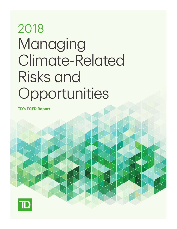# Risks and 2018 Managing Climate-Related Opportunities

**TD's TCFD Report**

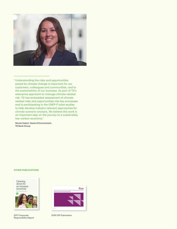

" Understanding the risks and opportunities posed by climate change is important for our customers, colleagues and communities, and to the sustainability of our business. As part of TD's enterprise approach to manage climate-related risk, TD has embedded assessment of climaterelated risks and opportunities into key processes and is participating in the UNEP-FI pilot studies to help develop industry-relevant approaches for climate scenario analysis. We believe this work is an important step on the journey to a sustainable, low-carbon economy."

Nicole Vadori, Head of Environment, TD Bank Group

#### OTHER PUBLICATIONS

Opening doors for an inclusive tomorrow



2017 Corporate Responsibility Report



2018 CDP Submission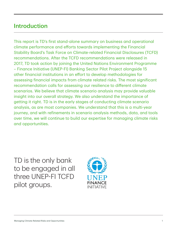# Introduction

This report is TD's first stand-alone summary on business and operational climate performance and efforts towards implementing the Financial Stability Board's Task Force on Climate-related Financial Disclosures (TCFD) recommendations. After the TCFD recommendations were released in 2017, TD took action by joining the United Nations Environment Programme – Finance Initiative (UNEP-FI) Banking Sector Pilot Project alongside 15 other financial institutions in an effort to develop methodologies for assessing financial impacts from climate related risks. The most significant recommendation calls for assessing our resilience to different climate scenarios. We believe that climate scenario analysis may provide valuable insight into our overall strategy. We also understand the importance of getting it right. TD is in the early stages of conducting climate scenario analysis, as are most companies. We understand that this is a multi-year journey, and with refinements in scenario analysis methods, data, and tools over time, we will continue to build our expertise for managing climate risks and opportunities.

TD is the only bank to be engaged in all three UNEP-FI TCFD pilot groups.

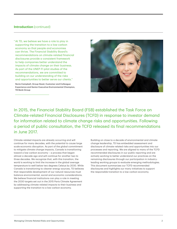# **Introduction** (continued)

" At TD, we believe we have a role to play in supporting the transition to a low-carbon economy so that people and economies can thrive. The Financial Stability Board's recommendations on climate-related financial disclosures provide a consistent framework to help companies better understand the impacts of climate change on their business. As part of the UNEP-FI pilot studies of the recommendations, we are committed to building on our understanding of the risks and opportunities to better serve our clients."

 Norie Campbell, Group Head, Customer and Colleague Experience and Senior Executive Environmental Champion, TD Bank Group



In 2015, the Financial Stability Board (FSB) established the Task Force on Climate-related Financial Disclosures (TCFD) in response to investor demand for information related to climate change risks and opportunities. Following a period of public consultation, the TCFD released its final recommendations in June 2017.

Climate-related impacts are already occurring and will continue for many decades, with the potential to cause large scale economic disruption. As part of the global commitment to mitigate climate change impacts, Canada is transitioning toward a low-carbon economy – a process that began almost a decade ago and will continue for another two to three decades. We recognize that, with this transition, the world is working to limit the increase in the global average temperature to well below two degrees Celsius by 2030. While Canada is transitioning to cleaner energy sources, TD believes that responsible development of our natural resources must balance environmental, social and economic considerations. We believe financial institutions can play a role in meeting the 2030 targets set out in the 2015 Paris Climate Agreement by addressing climate-related impacts to their business and supporting the transition to a low-carbon economy.

Building on close to a decade of environmental and climate change leadership, TD has embedded assessment and disclosure of climate-related risks and opportunities into our processes and reporting. We are aligned to many of the TCFD recommended disclosures in our public reporting and are actively working to better understand our practices on the remaining disclosures through our participation in industryleading working groups to evaluate emerging methodologies. This document summarizes our TCFD recommended disclosures and highlights our many initiatives to support the responsible transition to a low-carbon economy.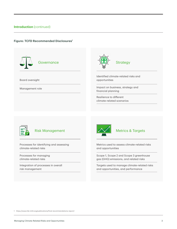# **Introduction** (continued)

# Figure: TCFD Recommended Disclosures<sup>1</sup>

**Governance** Board oversight

Management role





# Risk Management

Processes for identifying and assessing climate-related risks

Processes for managing climate-related risks

 Integration of processes in overall risk management



# Metrics & Targets

 Metrics used to assess climate-related risks and opportunities

 Scope 1, Scope 2 and Scope 3 greenhouse gas (GHG) emissions, and related risks

 Targets used to manage climate-related risks and opportunities, and performance

1 [https://www.fsb-tcfd.org/publications/final-recommendations-report/](https://assets.bbhub.io/company/sites/60/2020/10/FINAL-2017-TCFD-Report-11052018.pdf)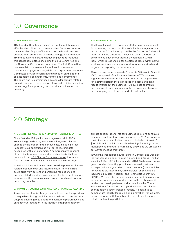# 1.0 Governance

#### A. BOARD OVERSIGHT

TD's Board of Directors oversees the implementation of an effective risk culture and internal control framework across the enterprise. As part of its mandate, the Board oversees controls and risks related to climate change issues affecting TD and its stakeholders, and it accomplishes its mandate through its committees, including the Risk Committee and the Corporate Governance Committee. The Risk Committee oversees risk management, including climate-related transition and physical risks, while the Corporate Governance Committee provides oversight and direction on the Bank's climate-related commitments, targets and performance. The Board and its committees also consider climate-related issues in reviews of major action plans and policies, including our strategy for supporting the transition to a low-carbon economy.

#### B. MANAGEMENT ROLE

The Senior Executive Environmental Champion is responsible for promoting the considerations of climate change matters and issues at TD and is supported by the Corporate Citizenship team. Within the Corporate Citizenship team, the Head of Environment leads the Corporate Environmental Affairs team, which is responsible for developing TD's environmental strategy, setting environmental performance standards and targets, and reporting on performance.

TD also has an enterprise-wide Corporate Citizenship Council (CCC) composed of senior executives from TD's business segments and corporate functions. The CCC is responsible for meeting performance standards and communicating results throughout the business. TD's business segments are responsible for implementing the environmental strategy and managing associated risks within their units.

# 2.0 Strategy

## A. CLIMATE-RELATED RISKS AND OPPORTUNITIES IDENTIFIED

Since first identifying climate change as a risk in 2009, TD has integrated short, medium and long-term climate change considerations into our business, including direct impacts to our operations as well as indirect impacts associated with our customers. A comprehensive account of our climate-related risks and opportunities is disclosed annually in our CDP Climate Change response. A summary from our 2018 submission is presented on the next page.

As a financial institution, we are exposed to potential climaterelated credit, market and insurance risks. Potential risks could arise from current and emerging regulations and carbon-related litigation involving our clients, as well as more extreme weather events causing property and asset damage, impacting our clients.

#### B. IMPACT ON BUSINESS, STRATEGY AND FINANCIAL PLANNING

Assessing our climate change risks and opportunities provides a unique lens through which to evaluate how our business can adapt to changing regulations and consumer preferences, and enhance our reputation in the industry. Integrating relevant

climate considerations into our business decisions continues to support our long-term growth strategy. In 2017, we launched a set of environmental initiatives which includes a target of \$100 billion, in total, in low-carbon lending, financing, asset management and other programs by 2030, and we are well on our way to meeting this target.

 risks in our lending portfolios.TD was the first carbon neutral bank in Canada, and was also the first Canadian bank to issue a green bond (C\$500 million issued in 2014; US\$1 billion issued in 2017). We have an active green bond underwriting practice and green investment strategy and are signatories to United Nations (UN) Principles for Responsible Investment, UN Principles for Sustainable Insurance, Equator Principles, and Renewable Energy 100 (RE100). We have also supported climate adaptation research for our insurance clients, participated in the carbon credit market, and developed new products such as the TD Auto Finance loans for electric and hybrid vehicles, and climate change-related TD Insurance products. We continue to demonstrate thought leadership and innovation, for example, by collaborating with Bloomberg to map physical climate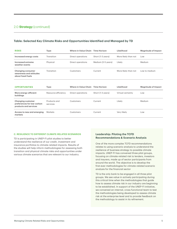# Table: Selected Key Climate Risks and Opportunities Identified and Managed by TD

| <b>RISKS</b>                                                                    | Type                     | Where in Value Chain              | Time Horizon       | Likelihood           | <b>Magnitude of Impact</b> |
|---------------------------------------------------------------------------------|--------------------------|-----------------------------------|--------------------|----------------------|----------------------------|
| Increased energy costs                                                          | Transition               | Direct operations                 | Short (1-3 years)  | More likely than not | Low                        |
| Increased extreme<br>weather events                                             | Physical                 | Direct operations                 | Medium (3-5 years) | Likely               | Medium                     |
| <b>Changing consumer</b><br>awareness and attitudes<br>about fossil fuels       | Transition               | Customers                         | Current            | More likely than not | Low to medium              |
|                                                                                 |                          |                                   |                    |                      |                            |
|                                                                                 |                          |                                   |                    |                      |                            |
| <b>OPPORTUNITIES</b>                                                            | Type                     | Where in Value Chain Time Horizon |                    | Likelihood           | <b>Magnitude of Impact</b> |
| More energy-efficient<br>buildings                                              | Resource efficiency      | Direct operations                 | Short (1-3 years)  | Virtual certainty    | Low                        |
| <b>Changing customer</b><br>preferences for low-carbon<br>products and services | Products and<br>services | Customers                         | Current            | Likely               | Medium                     |

## C. RESILIENCE TO DIFFERENT CLIMATE-RELATED SCENARIOS

TD is participating in UNEP-FI pilot studies to better understand the resilience of our credit, investment and insurance portfolios to climate-related impacts. Results of the studies will help inform methodologies for assessing both transition and physical climate risks and opportunities under various climate scenarios that are relevant to our industry.

# Leadership: Piloting the TCFD Recommendations & Scenario Analysis

One of the more complex TCFD recommendations relates to using scenario analysis to understand the resilience of business strategy to possible climate impacts. UNEP-FI has convened three pilot groups, focusing on climate-related risk to lenders, investors and insurers, made up of sector participants from around the world. The objective is to develop the first-ever methodologies for climate-related scenario analysis for the financial sector

TD is the only bank to be engaged in all three pilot groups. We see value in actively participating during this critical time when the methodologies that guide how to assess climate risk in our industry are beginning to be established. In support of the UNEP-FI initiative, we convened an internal, cross-functional team to test the methodologies being developed to assess climate risk at the enterprise level and to provide feedback on the methodology to assist in its refinement.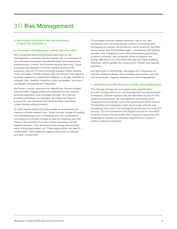# 3.0 Risk Management

## A. PROCESSES FOR IDENTIFYING AND ASSESSING CLIMATE-RELATED RISKS &

## B. PROCESSES FOR MANAGING CLIMATE-RELATED RISKS

TD's comprehensive and proactive approach to risk management, including climate-related risk, is comprised of four principal processes: risk identification and assessment, measurement, control, and monitoring and reporting. These processes are applied to climate-related physical and transition risks by TD's environmental subject matter experts. Once identified, climate-related risks are raised to the relevant business segments to determine whether to accept, transfer or mitigate risks; develop mitigation plans as needed, and carry out regular monitoring and reporting.

We follow a similar approach for identifying climate-related opportunities. Opportunities are evaluated by the relevant business segments and managed through TD's internal business processes; for example, we follow our internal process for new products and services when launching a new climate-related product.

TD uses several additional approaches to understand and measure climate-related risks. These include: review of lending and investing exposure to industries that are vulnerable to the impacts of climate change as well as industries that will thrive in the transition to a low-carbon economy, natural capital valuation, GHG emissions and energy use avoided, clean energy generated, etc. These approaches are used in combination with qualitative approaches such as industry and peer comparison.

TD manages climate-related transition risks in our own operations such as rising energy costs by monitoring and managing our energy use across our North American facilities using Energy Star PortfolioManager®, completing LED lighting retrofits, and installing on-site solar photovoltaic generation at select locations. We constantly strive to improve the energy efficiency of our facilities through our Green Building Standard, which guides our construction, retrofit and leasing practices.

Our approach to identifying, managing and mitigating our climate-related business risks includes using written policies and procedures, ongoing analysis and client engagement.

## C. INTEGRATION OF PROCESSES IN OVERALL RISK MANAGEMENT

TD's climate change risk and opportunity identification process is integrated in our risk management and governance framework. Climate-related risks are identified as part of TD's credit and investment risk management processes which integrate environmental, social and governance (ESG) factors. TD identifies and mitigates credit risk through policies and procedures that value and manage financial and non-financial security. TD's environmental due diligence tools for non-retail lending consider the disclosed GHG emissions footprints and readiness to respond to emerging regulations of clients in carbon-intensive industries.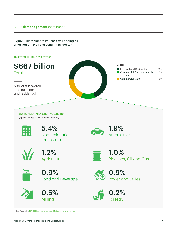# 3.0 **Risk Management** (continued)

Figure: Environmentally Sensitive Lending as a Portion of TD's Total Lending by Sector

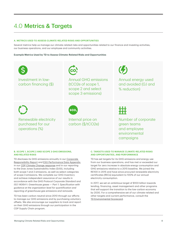# 4.0 Metrics & Targets

#### A. METRICS USED TO ASSESS CLIMATE-RELATED RISKS AND OPPORTUNITIES

Several metrics help us manage our climate-related risks and opportunities related to our finance and investing activities, our business operations, and our employee and community activities.

Example Metrics Used by TD to Assess Climate-Related Risks and Opportunities



## B. SCOPE 1, SCOPE 2 AND SCOPE 3 GHG EMISSIONS, AND RELATED RISKS

TD discloses its GHG emissions annually in our Corporate Responsibility Report and ESG Performance Data Appendix, in our CDP Climate Change response and in our reporting to the Dow Jones Sustainability Index (DJSI), including both scope 1 and 2 emissions, as well as select categories of scope 3 emissions. We complete our GHG Inventory and achieve independent assurance of our results in accordance with the *GHG Protocol Corporate Standard* and *ISO 14064-1: Greenhouse gases — Part 1: Specification with guidance at the organization level for quantification and reporting of greenhouse gas emissions and removals.*

TD has been carbon neutral since 2010 through our efforts to manage our GHG emissions and by purchasing voluntary offsets. We also encourage our suppliers to track and report on their GHG emissions through our participation in the CDP Supply Chain program.

## C. TARGETS USED TO MANAGE CLIMATE-RELATED RISKS AND OPPORTUNITIES, AND PERFORMANCE

TD has set targets for its GHG emissions and energy use from our business operations, and has met or exceeded our target for zero increase in absolute energy consumption and GHG emissions relative to a 2015 baseline. We joined the RE100 in 2015 and have since procured renewable electricity certificates (RECs) equivalent to 100% of our annual electricity consumption.

 TD Environmental Scorecard.In 2017, we set an ambitious target of \$100 billion towards lending, financing, asset management and other programs that will support the transition to the low-carbon economy by 2030. For a comprehensive set of our climate-related and other targets and current performance, consult the